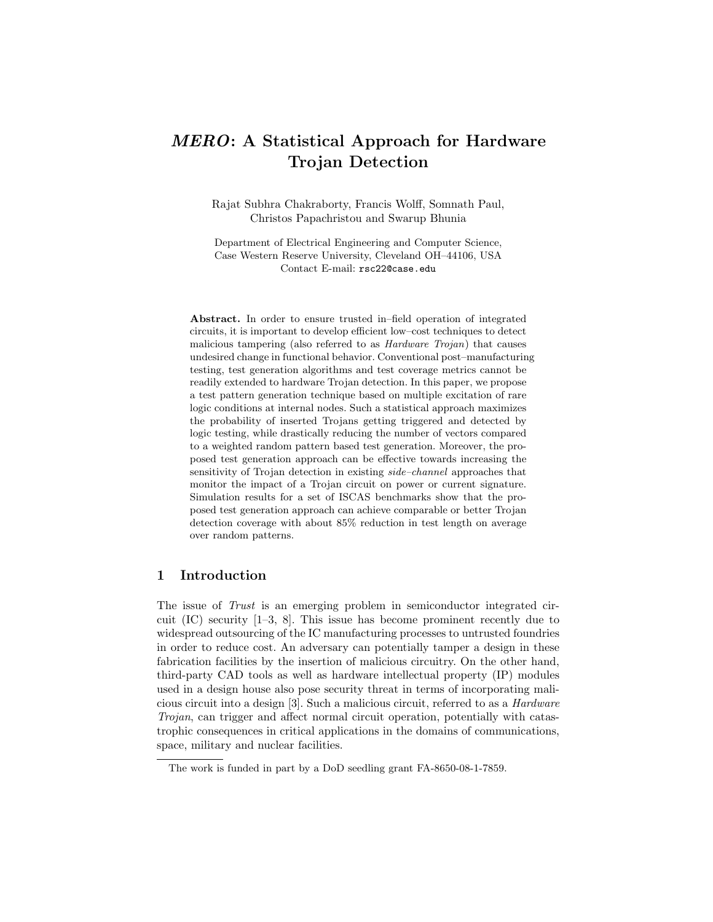# MERO: A Statistical Approach for Hardware Trojan Detection

Rajat Subhra Chakraborty, Francis Wolff, Somnath Paul, Christos Papachristou and Swarup Bhunia

Department of Electrical Engineering and Computer Science, Case Western Reserve University, Cleveland OH–44106, USA Contact E-mail: rsc22@case.edu

Abstract. In order to ensure trusted in–field operation of integrated circuits, it is important to develop efficient low–cost techniques to detect malicious tampering (also referred to as Hardware Trojan) that causes undesired change in functional behavior. Conventional post–manufacturing testing, test generation algorithms and test coverage metrics cannot be readily extended to hardware Trojan detection. In this paper, we propose a test pattern generation technique based on multiple excitation of rare logic conditions at internal nodes. Such a statistical approach maximizes the probability of inserted Trojans getting triggered and detected by logic testing, while drastically reducing the number of vectors compared to a weighted random pattern based test generation. Moreover, the proposed test generation approach can be effective towards increasing the sensitivity of Trojan detection in existing side–channel approaches that monitor the impact of a Trojan circuit on power or current signature. Simulation results for a set of ISCAS benchmarks show that the proposed test generation approach can achieve comparable or better Trojan detection coverage with about 85% reduction in test length on average over random patterns.

# 1 Introduction

The issue of Trust is an emerging problem in semiconductor integrated circuit (IC) security [1–3, 8]. This issue has become prominent recently due to widespread outsourcing of the IC manufacturing processes to untrusted foundries in order to reduce cost. An adversary can potentially tamper a design in these fabrication facilities by the insertion of malicious circuitry. On the other hand, third-party CAD tools as well as hardware intellectual property (IP) modules used in a design house also pose security threat in terms of incorporating malicious circuit into a design [3]. Such a malicious circuit, referred to as a Hardware Trojan, can trigger and affect normal circuit operation, potentially with catastrophic consequences in critical applications in the domains of communications, space, military and nuclear facilities.

The work is funded in part by a DoD seedling grant FA-8650-08-1-7859.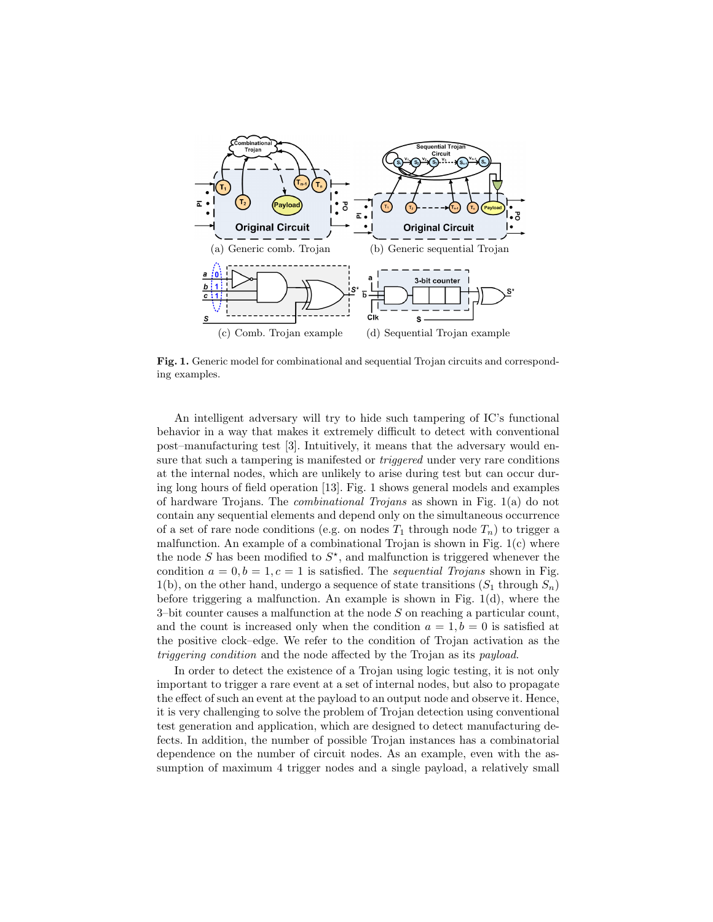

Fig. 1. Generic model for combinational and sequential Trojan circuits and corresponding examples.

An intelligent adversary will try to hide such tampering of IC's functional behavior in a way that makes it extremely difficult to detect with conventional post–manufacturing test [3]. Intuitively, it means that the adversary would ensure that such a tampering is manifested or *triggered* under very rare conditions at the internal nodes, which are unlikely to arise during test but can occur during long hours of field operation [13]. Fig. 1 shows general models and examples of hardware Trojans. The combinational Trojans as shown in Fig. 1(a) do not contain any sequential elements and depend only on the simultaneous occurrence of a set of rare node conditions (e.g. on nodes  $T_1$  through node  $T_n$ ) to trigger a malfunction. An example of a combinational Trojan is shown in Fig.  $1(c)$  where the node S has been modified to  $S^*$ , and malfunction is triggered whenever the condition  $a = 0, b = 1, c = 1$  is satisfied. The *sequential Trojans* shown in Fig. 1(b), on the other hand, undergo a sequence of state transitions  $(S_1$  through  $S_n$ ) before triggering a malfunction. An example is shown in Fig. 1(d), where the 3–bit counter causes a malfunction at the node  $S$  on reaching a particular count, and the count is increased only when the condition  $a = 1, b = 0$  is satisfied at the positive clock–edge. We refer to the condition of Trojan activation as the triggering condition and the node affected by the Trojan as its payload.

In order to detect the existence of a Trojan using logic testing, it is not only important to trigger a rare event at a set of internal nodes, but also to propagate the effect of such an event at the payload to an output node and observe it. Hence, it is very challenging to solve the problem of Trojan detection using conventional test generation and application, which are designed to detect manufacturing defects. In addition, the number of possible Trojan instances has a combinatorial dependence on the number of circuit nodes. As an example, even with the assumption of maximum 4 trigger nodes and a single payload, a relatively small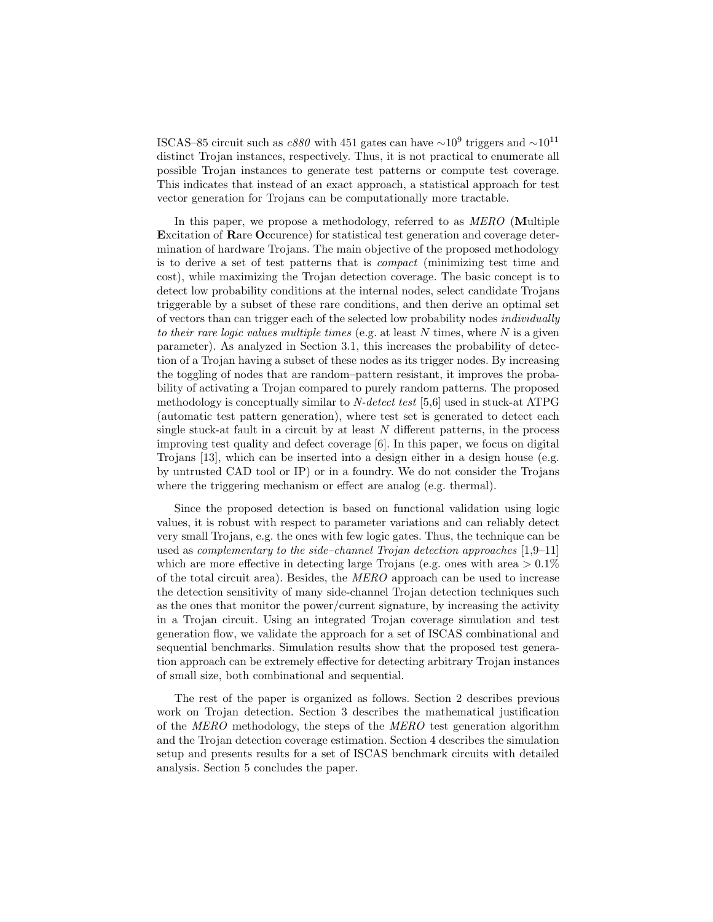ISCAS–85 circuit such as  $c880$  with 451 gates can have  $\sim 10^9$  triggers and  $\sim 10^{11}$ distinct Trojan instances, respectively. Thus, it is not practical to enumerate all possible Trojan instances to generate test patterns or compute test coverage. This indicates that instead of an exact approach, a statistical approach for test vector generation for Trojans can be computationally more tractable.

In this paper, we propose a methodology, referred to as MERO (Multiple Excitation of Rare Occurence) for statistical test generation and coverage determination of hardware Trojans. The main objective of the proposed methodology is to derive a set of test patterns that is compact (minimizing test time and cost), while maximizing the Trojan detection coverage. The basic concept is to detect low probability conditions at the internal nodes, select candidate Trojans triggerable by a subset of these rare conditions, and then derive an optimal set of vectors than can trigger each of the selected low probability nodes individually to their rare logic values multiple times (e.g. at least  $N$  times, where  $N$  is a given parameter). As analyzed in Section 3.1, this increases the probability of detection of a Trojan having a subset of these nodes as its trigger nodes. By increasing the toggling of nodes that are random–pattern resistant, it improves the probability of activating a Trojan compared to purely random patterns. The proposed methodology is conceptually similar to N-detect test [5,6] used in stuck-at ATPG (automatic test pattern generation), where test set is generated to detect each single stuck-at fault in a circuit by at least  $N$  different patterns, in the process improving test quality and defect coverage [6]. In this paper, we focus on digital Trojans [13], which can be inserted into a design either in a design house (e.g. by untrusted CAD tool or IP) or in a foundry. We do not consider the Trojans where the triggering mechanism or effect are analog (e.g. thermal).

Since the proposed detection is based on functional validation using logic values, it is robust with respect to parameter variations and can reliably detect very small Trojans, e.g. the ones with few logic gates. Thus, the technique can be used as complementary to the side–channel Trojan detection approaches [1,9–11] which are more effective in detecting large Trojans (e.g. ones with area  $> 0.1\%$ of the total circuit area). Besides, the MERO approach can be used to increase the detection sensitivity of many side-channel Trojan detection techniques such as the ones that monitor the power/current signature, by increasing the activity in a Trojan circuit. Using an integrated Trojan coverage simulation and test generation flow, we validate the approach for a set of ISCAS combinational and sequential benchmarks. Simulation results show that the proposed test generation approach can be extremely effective for detecting arbitrary Trojan instances of small size, both combinational and sequential.

The rest of the paper is organized as follows. Section 2 describes previous work on Trojan detection. Section 3 describes the mathematical justification of the MERO methodology, the steps of the MERO test generation algorithm and the Trojan detection coverage estimation. Section 4 describes the simulation setup and presents results for a set of ISCAS benchmark circuits with detailed analysis. Section 5 concludes the paper.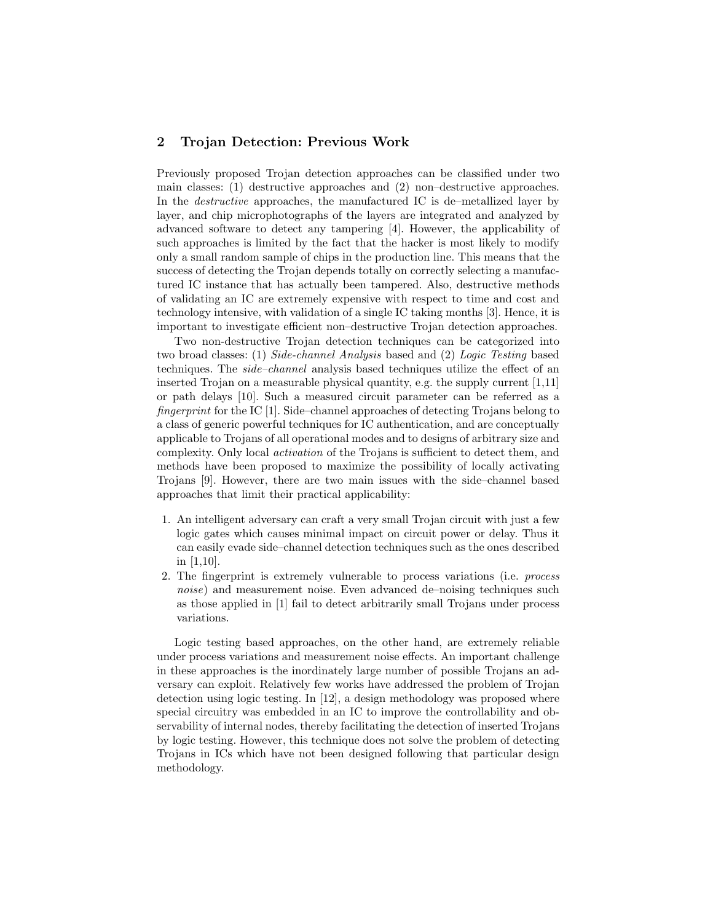# 2 Trojan Detection: Previous Work

Previously proposed Trojan detection approaches can be classified under two main classes: (1) destructive approaches and (2) non–destructive approaches. In the destructive approaches, the manufactured IC is de–metallized layer by layer, and chip microphotographs of the layers are integrated and analyzed by advanced software to detect any tampering [4]. However, the applicability of such approaches is limited by the fact that the hacker is most likely to modify only a small random sample of chips in the production line. This means that the success of detecting the Trojan depends totally on correctly selecting a manufactured IC instance that has actually been tampered. Also, destructive methods of validating an IC are extremely expensive with respect to time and cost and technology intensive, with validation of a single IC taking months [3]. Hence, it is important to investigate efficient non–destructive Trojan detection approaches.

Two non-destructive Trojan detection techniques can be categorized into two broad classes: (1) Side-channel Analysis based and (2) Logic Testing based techniques. The side–channel analysis based techniques utilize the effect of an inserted Trojan on a measurable physical quantity, e.g. the supply current [1,11] or path delays [10]. Such a measured circuit parameter can be referred as a fingerprint for the IC [1]. Side–channel approaches of detecting Trojans belong to a class of generic powerful techniques for IC authentication, and are conceptually applicable to Trojans of all operational modes and to designs of arbitrary size and complexity. Only local activation of the Trojans is sufficient to detect them, and methods have been proposed to maximize the possibility of locally activating Trojans [9]. However, there are two main issues with the side–channel based approaches that limit their practical applicability:

- 1. An intelligent adversary can craft a very small Trojan circuit with just a few logic gates which causes minimal impact on circuit power or delay. Thus it can easily evade side–channel detection techniques such as the ones described in [1,10].
- 2. The fingerprint is extremely vulnerable to process variations (i.e. process noise) and measurement noise. Even advanced de–noising techniques such as those applied in [1] fail to detect arbitrarily small Trojans under process variations.

Logic testing based approaches, on the other hand, are extremely reliable under process variations and measurement noise effects. An important challenge in these approaches is the inordinately large number of possible Trojans an adversary can exploit. Relatively few works have addressed the problem of Trojan detection using logic testing. In [12], a design methodology was proposed where special circuitry was embedded in an IC to improve the controllability and observability of internal nodes, thereby facilitating the detection of inserted Trojans by logic testing. However, this technique does not solve the problem of detecting Trojans in ICs which have not been designed following that particular design methodology.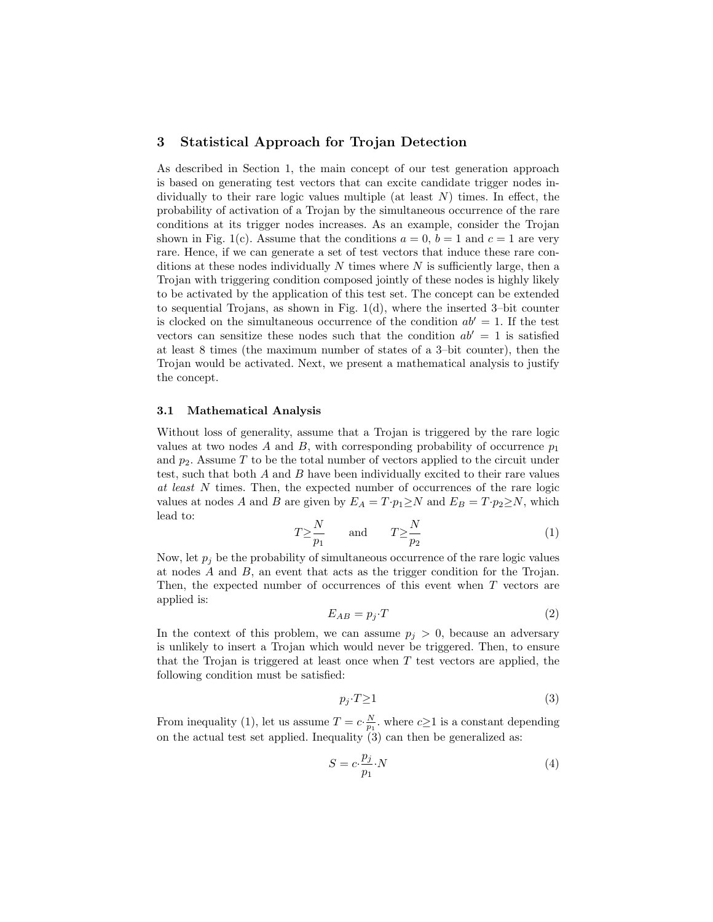### 3 Statistical Approach for Trojan Detection

As described in Section 1, the main concept of our test generation approach is based on generating test vectors that can excite candidate trigger nodes individually to their rare logic values multiple (at least  $N$ ) times. In effect, the probability of activation of a Trojan by the simultaneous occurrence of the rare conditions at its trigger nodes increases. As an example, consider the Trojan shown in Fig. 1(c). Assume that the conditions  $a = 0$ ,  $b = 1$  and  $c = 1$  are very rare. Hence, if we can generate a set of test vectors that induce these rare conditions at these nodes individually  $N$  times where  $N$  is sufficiently large, then a Trojan with triggering condition composed jointly of these nodes is highly likely to be activated by the application of this test set. The concept can be extended to sequential Trojans, as shown in Fig. 1(d), where the inserted 3–bit counter is clocked on the simultaneous occurrence of the condition  $ab' = 1$ . If the test vectors can sensitize these nodes such that the condition  $ab' = 1$  is satisfied at least 8 times (the maximum number of states of a 3–bit counter), then the Trojan would be activated. Next, we present a mathematical analysis to justify the concept.

#### 3.1 Mathematical Analysis

Without loss of generality, assume that a Trojan is triggered by the rare logic values at two nodes A and B, with corresponding probability of occurrence  $p_1$ and  $p_2$ . Assume T to be the total number of vectors applied to the circuit under test, such that both  $A$  and  $B$  have been individually excited to their rare values at least N times. Then, the expected number of occurrences of the rare logic values at nodes A and B are given by  $E_A = T \cdot p_1 \ge N$  and  $E_B = T \cdot p_2 \ge N$ , which lead to:

$$
T \ge \frac{N}{p_1} \quad \text{and} \quad T \ge \frac{N}{p_2} \tag{1}
$$

Now, let  $p_j$  be the probability of simultaneous occurrence of the rare logic values at nodes A and B, an event that acts as the trigger condition for the Trojan. Then, the expected number of occurrences of this event when T vectors are applied is:

$$
E_{AB} = p_j \cdot T \tag{2}
$$

In the context of this problem, we can assume  $p_j > 0$ , because an adversary is unlikely to insert a Trojan which would never be triggered. Then, to ensure that the Trojan is triggered at least once when  $T$  test vectors are applied, the following condition must be satisfied:

$$
p_j \cdot T \ge 1\tag{3}
$$

From inequality (1), let us assume  $T = c \cdot \frac{N}{p_1}$ , where  $c \ge 1$  is a constant depending on the actual test set applied. Inequality (3) can then be generalized as:

$$
S = c \cdot \frac{p_j}{p_1} \cdot N \tag{4}
$$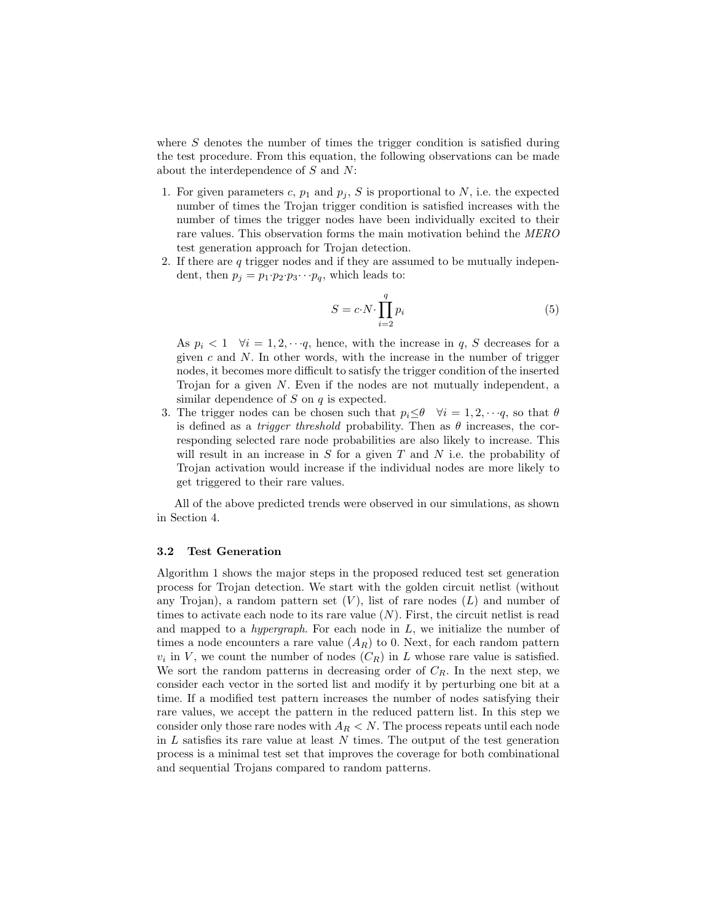where S denotes the number of times the trigger condition is satisfied during the test procedure. From this equation, the following observations can be made about the interdependence of  $S$  and  $N$ :

- 1. For given parameters c,  $p_1$  and  $p_j$ , S is proportional to N, i.e. the expected number of times the Trojan trigger condition is satisfied increases with the number of times the trigger nodes have been individually excited to their rare values. This observation forms the main motivation behind the MERO test generation approach for Trojan detection.
- 2. If there are q trigger nodes and if they are assumed to be mutually independent, then  $p_i = p_1 \cdot p_2 \cdot p_3 \cdots p_q$ , which leads to:

$$
S = c \cdot N \cdot \prod_{i=2}^{q} p_i \tag{5}
$$

As  $p_i < 1 \quad \forall i = 1, 2, \dots, q$ , hence, with the increase in q, S decreases for a given  $c$  and  $N$ . In other words, with the increase in the number of trigger nodes, it becomes more difficult to satisfy the trigger condition of the inserted Trojan for a given N. Even if the nodes are not mutually independent, a similar dependence of  $S$  on  $q$  is expected.

3. The trigger nodes can be chosen such that  $p_i \leq \theta \quad \forall i = 1, 2, \dots, q$ , so that  $\theta$ is defined as a *trigger threshold* probability. Then as  $\theta$  increases, the corresponding selected rare node probabilities are also likely to increase. This will result in an increase in  $S$  for a given  $T$  and  $N$  i.e. the probability of Trojan activation would increase if the individual nodes are more likely to get triggered to their rare values.

All of the above predicted trends were observed in our simulations, as shown in Section 4.

## 3.2 Test Generation

Algorithm 1 shows the major steps in the proposed reduced test set generation process for Trojan detection. We start with the golden circuit netlist (without any Trojan), a random pattern set  $(V)$ , list of rare nodes  $(L)$  and number of times to activate each node to its rare value  $(N)$ . First, the circuit netlist is read and mapped to a *hypergraph*. For each node in  $L$ , we initialize the number of times a node encounters a rare value  $(A_R)$  to 0. Next, for each random pattern  $v_i$  in V, we count the number of nodes  $(C_R)$  in L whose rare value is satisfied. We sort the random patterns in decreasing order of  $C_R$ . In the next step, we consider each vector in the sorted list and modify it by perturbing one bit at a time. If a modified test pattern increases the number of nodes satisfying their rare values, we accept the pattern in the reduced pattern list. In this step we consider only those rare nodes with  $A_R < N$ . The process repeats until each node in  $L$  satisfies its rare value at least  $N$  times. The output of the test generation process is a minimal test set that improves the coverage for both combinational and sequential Trojans compared to random patterns.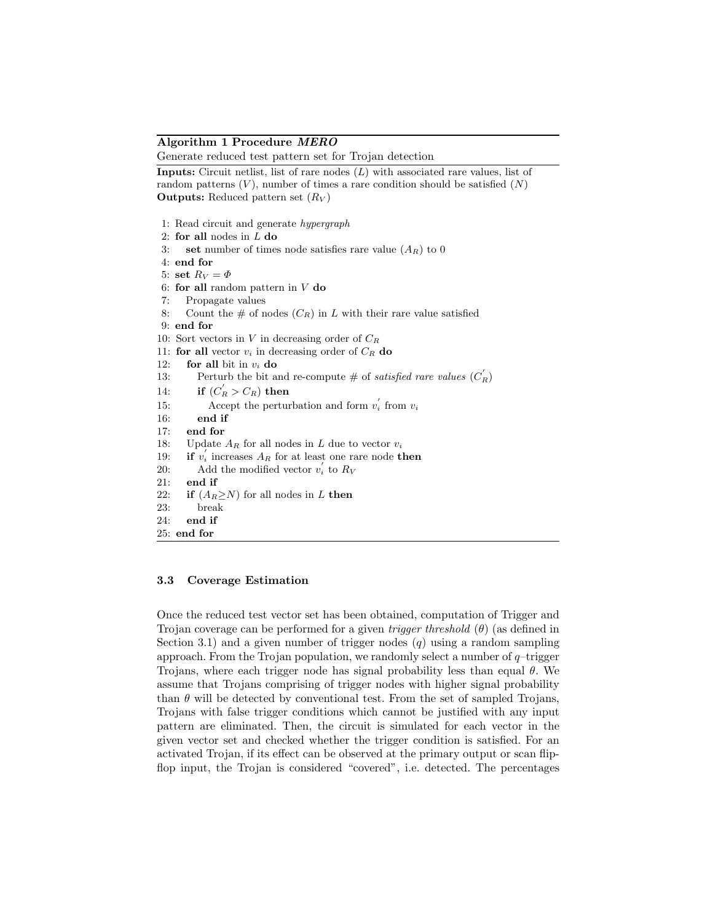#### Algorithm 1 Procedure MERO

Generate reduced test pattern set for Trojan detection

**Inputs:** Circuit netlist, list of rare nodes  $(L)$  with associated rare values, list of random patterns  $(V)$ , number of times a rare condition should be satisfied  $(N)$ **Outputs:** Reduced pattern set  $(R_V)$ 

1: Read circuit and generate hypergraph 2: for all nodes in  $L$  do 3: set number of times node satisfies rare value  $(A_R)$  to 0 4: end for 5: set  $R_V = \Phi$ 6: for all random pattern in  $V$  do 7: Propagate values 8: Count the  $\#$  of nodes  $(C_R)$  in L with their rare value satisfied 9: end for 10: Sort vectors in  $V$  in decreasing order of  $C_R$ 11: for all vector  $v_i$  in decreasing order of  $C_R$  do 12: for all bit in  $v_i$  do 13: Perturb the bit and re-compute # of satisfied rare values  $(C_R)$ 14: if  $(C_R^{'} > C_R)$  then 15: Accept the perturbation and form  $v_i$ <sup>'</sup> from  $v_i$ 16: end if 17: end for 18: Update  $A_R$  for all nodes in L due to vector  $v_i$ 19: if  $v'_i$  increases  $A_R$  for at least one rare node then 20: Add the modified vector  $v_i'$  to  $R_V$ 21: end if 22: if  $(A_R> N)$  for all nodes in L then 23: break 24: end if 25: end for

#### 3.3 Coverage Estimation

Once the reduced test vector set has been obtained, computation of Trigger and Trojan coverage can be performed for a given *trigger threshold*  $(\theta)$  (as defined in Section 3.1) and a given number of trigger nodes  $(q)$  using a random sampling approach. From the Trojan population, we randomly select a number of  $q$ -trigger Trojans, where each trigger node has signal probability less than equal  $\theta$ . We assume that Trojans comprising of trigger nodes with higher signal probability than  $\theta$  will be detected by conventional test. From the set of sampled Trojans, Trojans with false trigger conditions which cannot be justified with any input pattern are eliminated. Then, the circuit is simulated for each vector in the given vector set and checked whether the trigger condition is satisfied. For an activated Trojan, if its effect can be observed at the primary output or scan flipflop input, the Trojan is considered "covered", i.e. detected. The percentages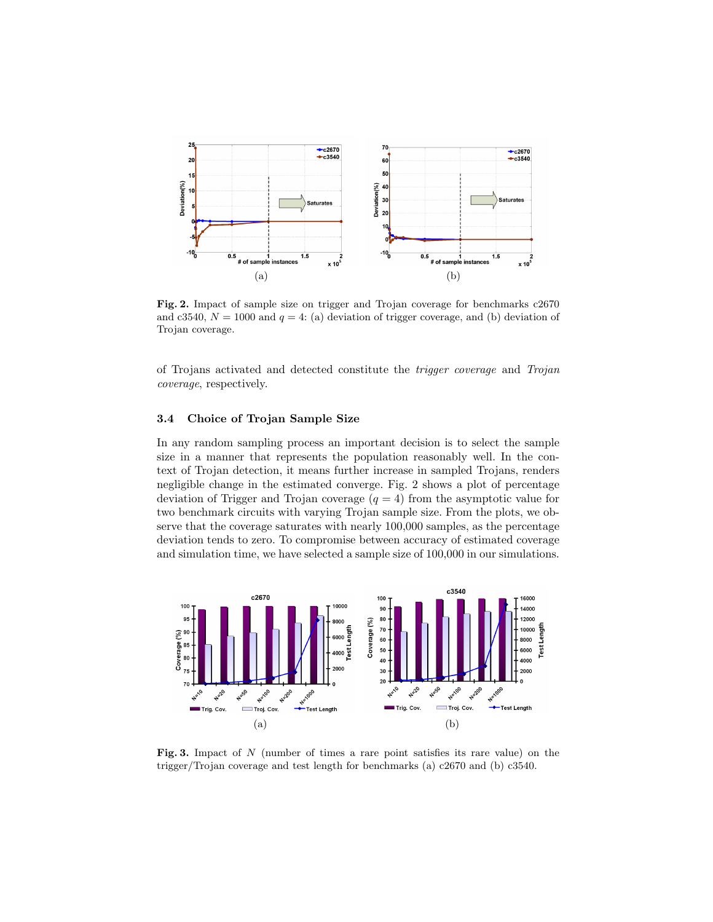

Fig. 2. Impact of sample size on trigger and Trojan coverage for benchmarks c2670 and c3540,  $N = 1000$  and  $q = 4$ : (a) deviation of trigger coverage, and (b) deviation of Trojan coverage.

of Trojans activated and detected constitute the trigger coverage and Trojan coverage, respectively.

#### 3.4 Choice of Trojan Sample Size

In any random sampling process an important decision is to select the sample size in a manner that represents the population reasonably well. In the context of Trojan detection, it means further increase in sampled Trojans, renders negligible change in the estimated converge. Fig. 2 shows a plot of percentage deviation of Trigger and Trojan coverage  $(q = 4)$  from the asymptotic value for two benchmark circuits with varying Trojan sample size. From the plots, we observe that the coverage saturates with nearly 100,000 samples, as the percentage deviation tends to zero. To compromise between accuracy of estimated coverage and simulation time, we have selected a sample size of 100,000 in our simulations.



Fig. 3. Impact of N (number of times a rare point satisfies its rare value) on the trigger/Trojan coverage and test length for benchmarks (a) c2670 and (b) c3540.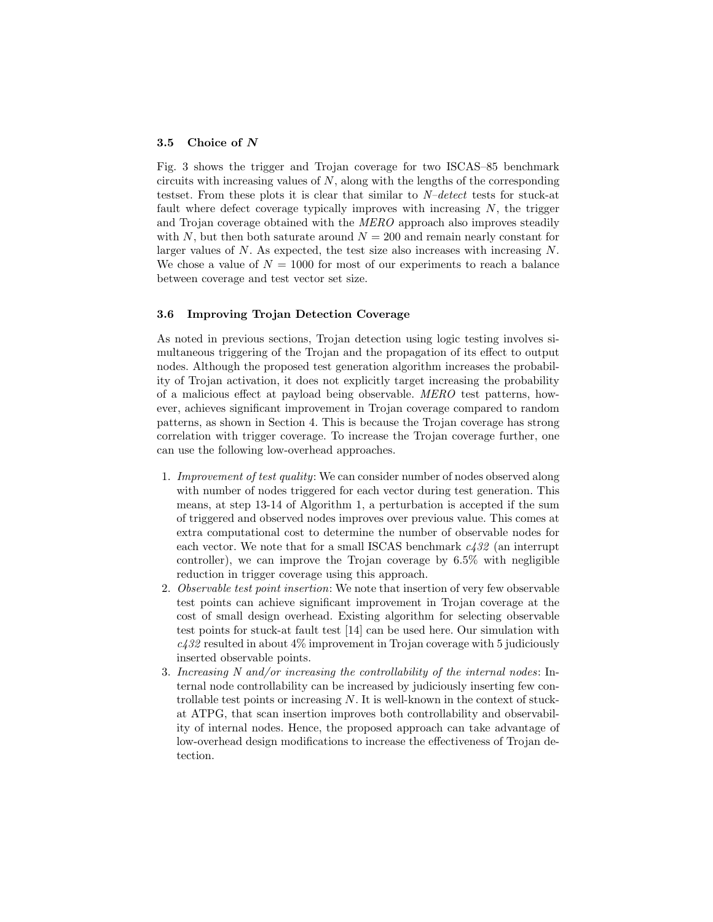#### 3.5 Choice of N

Fig. 3 shows the trigger and Trojan coverage for two ISCAS–85 benchmark circuits with increasing values of  $N$ , along with the lengths of the corresponding testset. From these plots it is clear that similar to N–detect tests for stuck-at fault where defect coverage typically improves with increasing  $N$ , the trigger and Trojan coverage obtained with the MERO approach also improves steadily with N, but then both saturate around  $N = 200$  and remain nearly constant for larger values of  $N$ . As expected, the test size also increases with increasing  $N$ . We chose a value of  $N = 1000$  for most of our experiments to reach a balance between coverage and test vector set size.

#### 3.6 Improving Trojan Detection Coverage

As noted in previous sections, Trojan detection using logic testing involves simultaneous triggering of the Trojan and the propagation of its effect to output nodes. Although the proposed test generation algorithm increases the probability of Trojan activation, it does not explicitly target increasing the probability of a malicious effect at payload being observable. MERO test patterns, however, achieves significant improvement in Trojan coverage compared to random patterns, as shown in Section 4. This is because the Trojan coverage has strong correlation with trigger coverage. To increase the Trojan coverage further, one can use the following low-overhead approaches.

- 1. Improvement of test quality: We can consider number of nodes observed along with number of nodes triggered for each vector during test generation. This means, at step 13-14 of Algorithm 1, a perturbation is accepted if the sum of triggered and observed nodes improves over previous value. This comes at extra computational cost to determine the number of observable nodes for each vector. We note that for a small ISCAS benchmark  $c432$  (an interrupt controller), we can improve the Trojan coverage by 6.5% with negligible reduction in trigger coverage using this approach.
- 2. Observable test point insertion: We note that insertion of very few observable test points can achieve significant improvement in Trojan coverage at the cost of small design overhead. Existing algorithm for selecting observable test points for stuck-at fault test [14] can be used here. Our simulation with  $c432$  resulted in about  $4\%$  improvement in Trojan coverage with 5 judiciously inserted observable points.
- 3. Increasing N and/or increasing the controllability of the internal nodes: Internal node controllability can be increased by judiciously inserting few controllable test points or increasing  $N$ . It is well-known in the context of stuckat ATPG, that scan insertion improves both controllability and observability of internal nodes. Hence, the proposed approach can take advantage of low-overhead design modifications to increase the effectiveness of Trojan detection.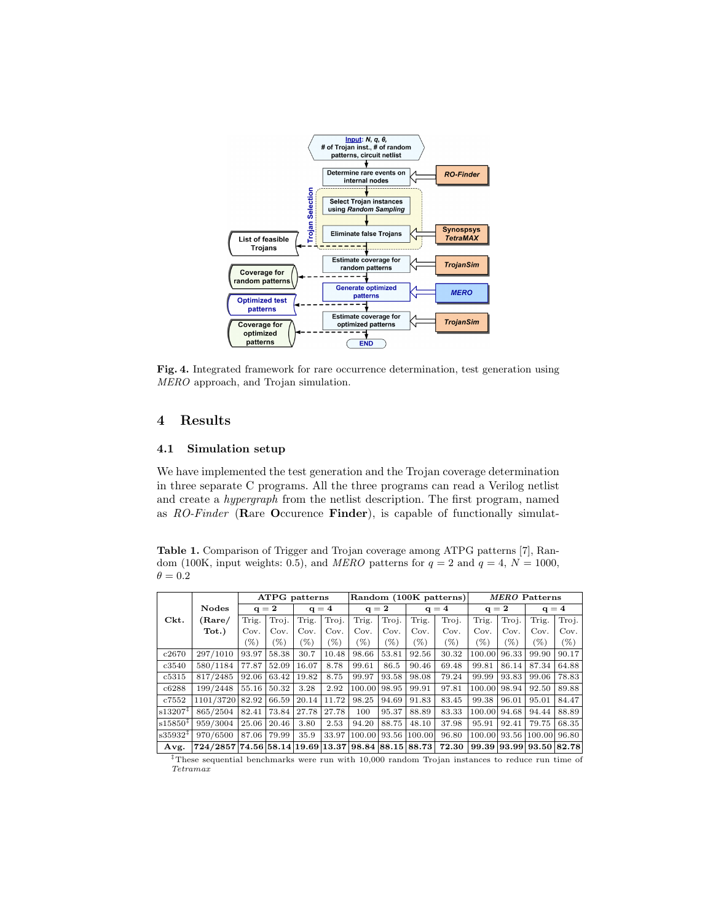

Fig. 4. Integrated framework for rare occurrence determination, test generation using MERO approach, and Trojan simulation.

#### 4 Results

#### 4.1 Simulation setup

We have implemented the test generation and the Trojan coverage determination in three separate C programs. All the three programs can read a Verilog netlist and create a hypergraph from the netlist description. The first program, named as RO-Finder (Rare Occurence Finder), is capable of functionally simulat-

Table 1. Comparison of Trigger and Trojan coverage among ATPG patterns [7], Random (100K, input weights: 0.5), and MERO patterns for  $q = 2$  and  $q = 4$ ,  $N = 1000$ ,  $\theta=0.2$ 

|                       |                                  | ATPG patterns |       |         |       | Random (100K patterns) |       |         |        | <b>MERO</b> Patterns |         |                         |        |
|-----------------------|----------------------------------|---------------|-------|---------|-------|------------------------|-------|---------|--------|----------------------|---------|-------------------------|--------|
|                       | <b>Nodes</b><br>$q = 2$          |               |       | $q = 4$ |       | $q = 2$                |       | $q = 4$ |        | $q = 2$              |         | $q = 4$                 |        |
| Ckt.                  | $(\rm{Rare}/$                    | Trig.         | Troj. | Trig.   | Troj. | Trig.                  | Troj. | Trig.   | Troj.  | Trig.                | Troj.   | Trig.                   | Troj.  |
|                       | Tot.)                            | Cov.          | Cov.  | Cov.    | Cov.  | Cov.                   | Cov.  | Cov.    | Cov.   | Cov.                 | Cov.    | Cov.                    | Cov.   |
|                       |                                  | $(\%)$        | (%)   | (%)     | (%)   | $(\%)$                 | (%)   | $(\%)$  | $(\%)$ | $(\%)$               | $(\% )$ | (%)                     | $(\%)$ |
| c2670                 | 297/1010                         | 93.97         | 58.38 | 30.7    | 10.48 | 98.66                  | 53.81 | 92.56   | 30.32  | 100.00               | 96.33   | 99.90                   | 90.17  |
| c3540                 | 580/1184                         | 77.87         | 52.09 | 16.07   | 8.78  | 99.61                  | 86.5  | 90.46   | 69.48  | 99.81                | 86.14   | 87.34                   | 64.88  |
| c5315                 | 817/2485                         | 92.06         | 63.42 | 19.82   | 8.75  | 99.97                  | 93.58 | 98.08   | 79.24  | 99.99                | 93.83   | 99.06                   | 78.83  |
| c6288                 | 199/2448                         | 55.16         | 50.32 | 3.28    | 2.92  | 100.00                 | 98.95 | 99.91   | 97.81  | 100.00               | 98.94   | 92.50                   | 89.88  |
| c7552                 | 1101/3720                        | 82.92         | 66.59 | 20.14   | 11.72 | 98.25                  | 94.69 | 91.83   | 83.45  | 99.38                | 96.01   | 95.01                   | 84.47  |
| $ s13207^{\ddagger} $ | 865/2504                         | 82.41         | 73.84 | 27.78   | 27.78 | 100                    | 95.37 | 88.89   | 83.33  | 100.00               | 94.68   | 94.44                   | 88.89  |
| s15850 <sup>‡</sup>   | 959/3004                         | 25.06         | 20.46 | 3.80    | 2.53  | 94.20                  | 88.75 | 48.10   | 37.98  | 95.91                | 92.41   | 79.75                   | 68.35  |
| $ s35932^{\ddagger} $ | 970/6500                         | 87.06         | 79.99 | 35.9    | 33.97 | 100.00                 | 93.56 | 100.00  | 96.80  | 100.00               | 93.56   | 100.00                  | 96.80  |
| Avg.                  | 724/2857 74.56 58.14 19.69 13.37 |               |       |         |       | 98.84 88.15            |       | 88.73   | 72.30  |                      |         | 99.39 93.99 93.50 82.78 |        |

‡These sequential benchmarks were run with 10,000 random Trojan instances to reduce run time of Tetramax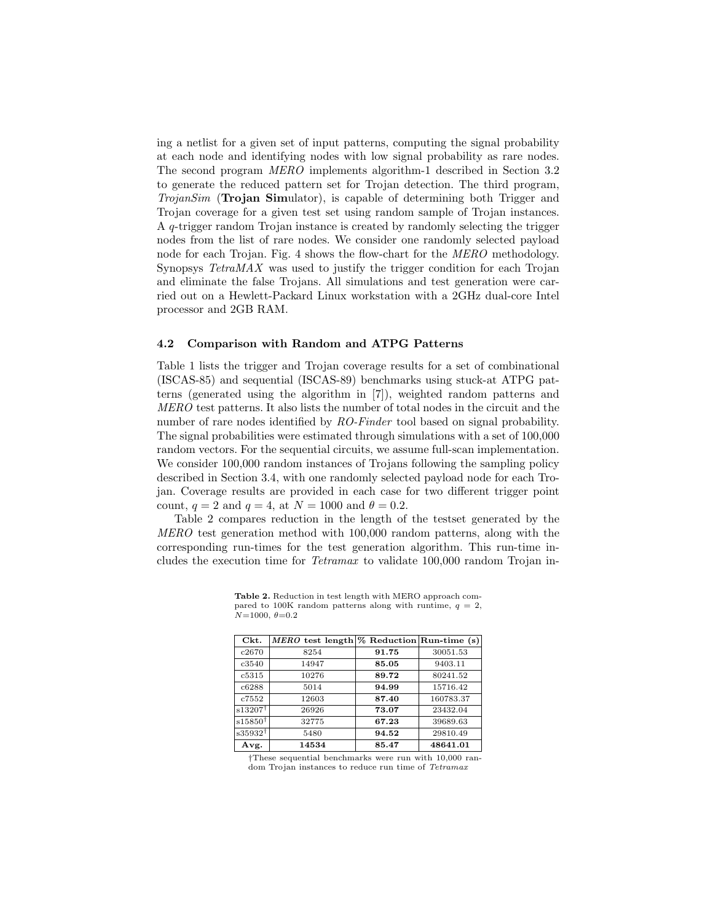ing a netlist for a given set of input patterns, computing the signal probability at each node and identifying nodes with low signal probability as rare nodes. The second program MERO implements algorithm-1 described in Section 3.2 to generate the reduced pattern set for Trojan detection. The third program, TrojanSim (Trojan Simulator), is capable of determining both Trigger and Trojan coverage for a given test set using random sample of Trojan instances. A q-trigger random Trojan instance is created by randomly selecting the trigger nodes from the list of rare nodes. We consider one randomly selected payload node for each Trojan. Fig. 4 shows the flow-chart for the MERO methodology. Synopsys TetraMAX was used to justify the trigger condition for each Trojan and eliminate the false Trojans. All simulations and test generation were carried out on a Hewlett-Packard Linux workstation with a 2GHz dual-core Intel processor and 2GB RAM.

#### 4.2 Comparison with Random and ATPG Patterns

Table 1 lists the trigger and Trojan coverage results for a set of combinational (ISCAS-85) and sequential (ISCAS-89) benchmarks using stuck-at ATPG patterns (generated using the algorithm in [7]), weighted random patterns and MERO test patterns. It also lists the number of total nodes in the circuit and the number of rare nodes identified by RO-Finder tool based on signal probability. The signal probabilities were estimated through simulations with a set of 100,000 random vectors. For the sequential circuits, we assume full-scan implementation. We consider  $100,000$  random instances of Trojans following the sampling policy described in Section 3.4, with one randomly selected payload node for each Trojan. Coverage results are provided in each case for two different trigger point count,  $q = 2$  and  $q = 4$ , at  $N = 1000$  and  $\theta = 0.2$ .

Table 2 compares reduction in the length of the testset generated by the MERO test generation method with 100,000 random patterns, along with the corresponding run-times for the test generation algorithm. This run-time includes the execution time for Tetramax to validate 100,000 random Trojan in-

| Ckt.               | MERO test length $%$ Reduction Run-time (s) |       |           |
|--------------------|---------------------------------------------|-------|-----------|
| c2670              | 8254                                        | 91.75 | 30051.53  |
| c3540              | 14947                                       | 85.05 | 9403.11   |
| c5315              | 10276                                       | 89.72 | 80241.52  |
| c6288              | 5014                                        | 94.99 | 15716.42  |
| c7552              | 12603                                       | 87.40 | 160783.37 |
| $s13207^{\dagger}$ | 26926                                       | 73.07 | 23432.04  |
| $s15850^{\dagger}$ | 32775                                       | 67.23 | 39689.63  |
| $s35932^{\dagger}$ | 5480                                        | 94.52 | 29810.49  |
| Avg.               | 14534                                       | 85.47 | 48641.01  |

Table 2. Reduction in test length with MERO approach compared to 100K random patterns along with runtime,  $q = 2$ ,  $N=1000, \theta=0.2$ 

†These sequential benchmarks were run with 10,000 random Trojan instances to reduce run time of Tetramax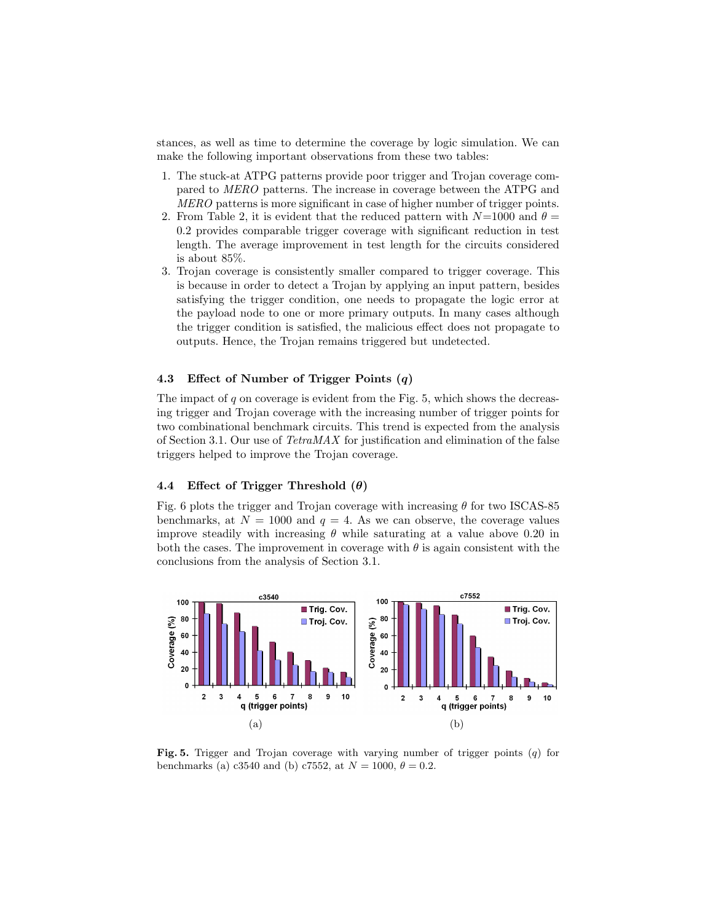stances, as well as time to determine the coverage by logic simulation. We can make the following important observations from these two tables:

- 1. The stuck-at ATPG patterns provide poor trigger and Trojan coverage compared to MERO patterns. The increase in coverage between the ATPG and MERO patterns is more significant in case of higher number of trigger points.
- 2. From Table 2, it is evident that the reduced pattern with  $N=1000$  and  $\theta =$ 0.2 provides comparable trigger coverage with significant reduction in test length. The average improvement in test length for the circuits considered is about 85%.
- 3. Trojan coverage is consistently smaller compared to trigger coverage. This is because in order to detect a Trojan by applying an input pattern, besides satisfying the trigger condition, one needs to propagate the logic error at the payload node to one or more primary outputs. In many cases although the trigger condition is satisfied, the malicious effect does not propagate to outputs. Hence, the Trojan remains triggered but undetected.

### 4.3 Effect of Number of Trigger Points (q)

The impact of  $q$  on coverage is evident from the Fig. 5, which shows the decreasing trigger and Trojan coverage with the increasing number of trigger points for two combinational benchmark circuits. This trend is expected from the analysis of Section 3.1. Our use of TetraMAX for justification and elimination of the false triggers helped to improve the Trojan coverage.

# 4.4 Effect of Trigger Threshold  $(\theta)$

Fig. 6 plots the trigger and Trojan coverage with increasing  $\theta$  for two ISCAS-85 benchmarks, at  $N = 1000$  and  $q = 4$ . As we can observe, the coverage values improve steadily with increasing  $\theta$  while saturating at a value above 0.20 in both the cases. The improvement in coverage with  $\theta$  is again consistent with the conclusions from the analysis of Section 3.1.



**Fig. 5.** Trigger and Trojan coverage with varying number of trigger points  $(q)$  for benchmarks (a) c3540 and (b) c7552, at  $N = 1000, \theta = 0.2$ .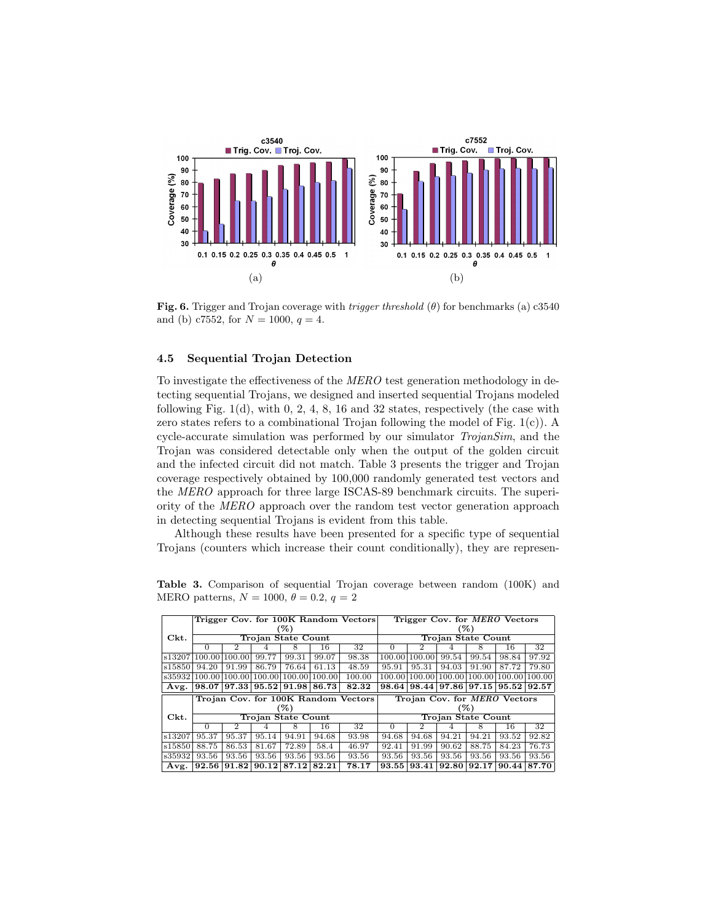

Fig. 6. Trigger and Trojan coverage with *trigger threshold*  $(\theta)$  for benchmarks (a) c3540 and (b) c7552, for  $N = 1000, q = 4$ .

#### 4.5 Sequential Trojan Detection

To investigate the effectiveness of the MERO test generation methodology in detecting sequential Trojans, we designed and inserted sequential Trojans modeled following Fig.  $1(d)$ , with 0, 2, 4, 8, 16 and 32 states, respectively (the case with zero states refers to a combinational Trojan following the model of Fig.  $1(c)$ ). A cycle-accurate simulation was performed by our simulator TrojanSim, and the Trojan was considered detectable only when the output of the golden circuit and the infected circuit did not match. Table 3 presents the trigger and Trojan coverage respectively obtained by 100,000 randomly generated test vectors and the MERO approach for three large ISCAS-89 benchmark circuits. The superiority of the MERO approach over the random test vector generation approach in detecting sequential Trojans is evident from this table.

Although these results have been presented for a specific type of sequential Trojans (counters which increase their count conditionally), they are represen-

Table 3. Comparison of sequential Trojan coverage between random (100K) and MERO patterns,  $N = 1000$ ,  $\theta = 0.2$ ,  $q = 2$ 

|         | Trigger Cov. for 100K Random Vectors |        |                    |        |        |                                     |                    | Trigger Cov. for <i>MERO</i> Vectors |        |                    |        |        |  |  |  |
|---------|--------------------------------------|--------|--------------------|--------|--------|-------------------------------------|--------------------|--------------------------------------|--------|--------------------|--------|--------|--|--|--|
|         | (%)                                  |        |                    |        |        |                                     |                    | (%)                                  |        |                    |        |        |  |  |  |
| Ckt.    | Trojan State Count                   |        |                    |        |        |                                     | Trojan State Count |                                      |        |                    |        |        |  |  |  |
|         | $\Omega$                             | 2      |                    | 8      | 16     | 32                                  | $\Omega$           | 2                                    |        | 8                  | 16     | 32     |  |  |  |
| s13207  | 100.00                               | 100.00 | 99.77              | 99.31  | 99.07  | 98.38                               | 100.00             | 100.00                               | 99.54  | 99.54              | 98.84  | 97.92  |  |  |  |
| s158501 | 94.20                                | 91.99  | 86.79              | 76.64  | 61.13  | 48.59                               | 95.91              | 95.31                                | 94.03  | 91.90              | 87.72  | 79.80  |  |  |  |
| s35932  | 100.00                               | 100.00 | 100.00             | 100.00 | 100.00 | 100.00                              | 100.00             | 100.00                               | 100.00 | 100.00             | 100.00 | 100.00 |  |  |  |
| Avg.    | 98.07                                | 97.33  | 95.52              | 91.98  | 86.73  | 82.32                               | 98.64              | 98.44                                | 97.86  | 97.15              | 95.52  | 92.57  |  |  |  |
|         |                                      |        |                    |        |        |                                     |                    |                                      |        |                    |        |        |  |  |  |
|         |                                      |        |                    |        |        | Trojan Cov. for 100K Random Vectors |                    | Trojan Cov. for <i>MERO</i> Vectors  |        |                    |        |        |  |  |  |
|         |                                      |        |                    | (%)    |        |                                     |                    |                                      |        | (%)                |        |        |  |  |  |
| Ckt.    |                                      |        | Trojan State Count |        |        |                                     |                    |                                      |        | Trojan State Count |        |        |  |  |  |
|         | $\Omega$                             | 2      |                    | 8      | 16     | 32                                  | $\Omega$           | 2                                    |        | 8                  | 16     | 32     |  |  |  |
| s13207  | $95.\overline{37}$                   | 95.37  | 95.14              | 94.91  | 94.68  | 93.98                               | $94.\overline{68}$ | 94.68                                | 94.21  | 94.21              | 93.52  | 92.82  |  |  |  |
| s15850  | 88.75                                | 86.53  | 81.67              | 72.89  | 58.4   | 46.97                               | 92.41              | 91.99                                | 90.62  | 88.75              | 84.23  | 76.73  |  |  |  |
| s35932  | 93.56                                | 93.56  | 93.56              | 93.56  | 93.56  | 93.56                               | 93.56              | 93.56                                | 93.56  | 93.56              | 93.56  | 93.56  |  |  |  |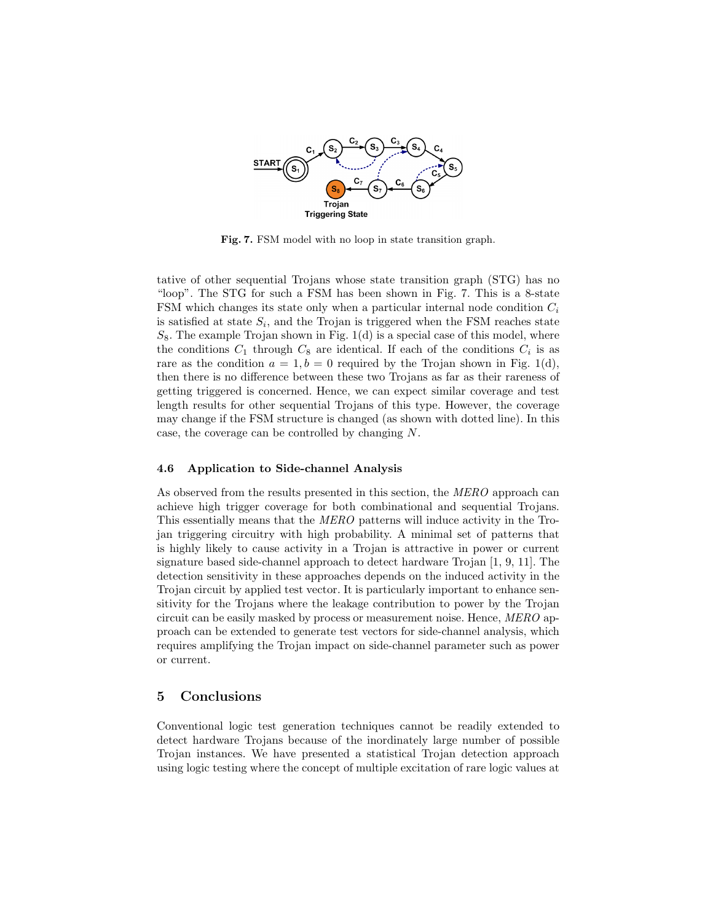

Fig. 7. FSM model with no loop in state transition graph.

tative of other sequential Trojans whose state transition graph (STG) has no "loop". The STG for such a FSM has been shown in Fig. 7. This is a 8-state FSM which changes its state only when a particular internal node condition  $C_i$ is satisfied at state  $S_i$ , and the Trojan is triggered when the FSM reaches state  $S_8$ . The example Trojan shown in Fig. 1(d) is a special case of this model, where the conditions  $C_1$  through  $C_8$  are identical. If each of the conditions  $C_i$  is as rare as the condition  $a = 1, b = 0$  required by the Trojan shown in Fig. 1(d), then there is no difference between these two Trojans as far as their rareness of getting triggered is concerned. Hence, we can expect similar coverage and test length results for other sequential Trojans of this type. However, the coverage may change if the FSM structure is changed (as shown with dotted line). In this case, the coverage can be controlled by changing N.

#### 4.6 Application to Side-channel Analysis

As observed from the results presented in this section, the MERO approach can achieve high trigger coverage for both combinational and sequential Trojans. This essentially means that the MERO patterns will induce activity in the Trojan triggering circuitry with high probability. A minimal set of patterns that is highly likely to cause activity in a Trojan is attractive in power or current signature based side-channel approach to detect hardware Trojan [1, 9, 11]. The detection sensitivity in these approaches depends on the induced activity in the Trojan circuit by applied test vector. It is particularly important to enhance sensitivity for the Trojans where the leakage contribution to power by the Trojan circuit can be easily masked by process or measurement noise. Hence, MERO approach can be extended to generate test vectors for side-channel analysis, which requires amplifying the Trojan impact on side-channel parameter such as power or current.

#### 5 Conclusions

Conventional logic test generation techniques cannot be readily extended to detect hardware Trojans because of the inordinately large number of possible Trojan instances. We have presented a statistical Trojan detection approach using logic testing where the concept of multiple excitation of rare logic values at